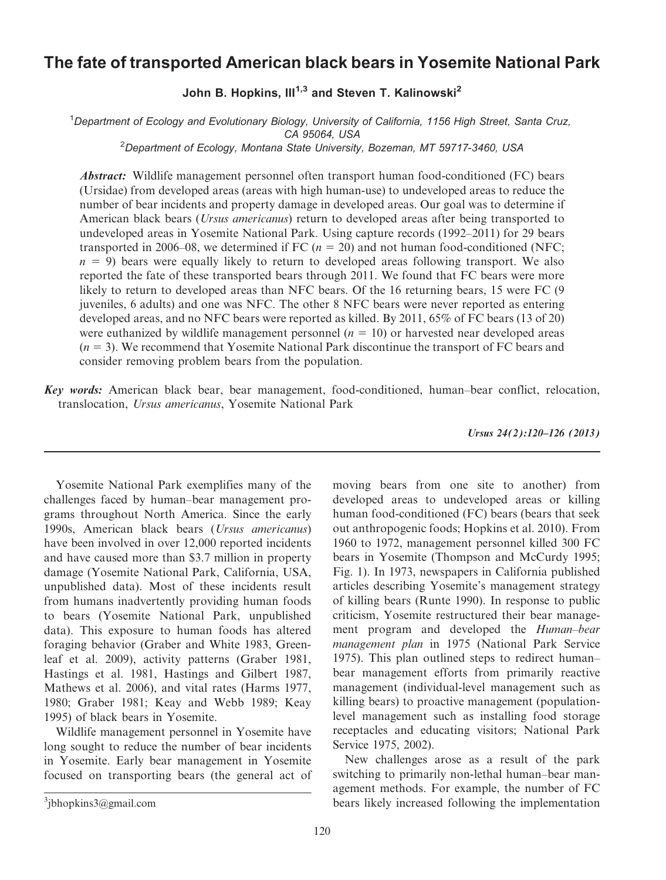# The fate of transported American black bears in Yosemite National Park

## John B. Hopkins,  $III^{1,3}$  and Steven T. Kalinowski<sup>2</sup>

<sup>1</sup>Department of Ecology and Evolutionary Biology, University of California, 1156 High Street, Santa Cruz,

CA 95064, USA<br><sup>2</sup>Department of Ecology, Montana State University, Bozeman, MT 59717-3460, USA

Abstract: Wildlife management personnel often transport human food-conditioned (FC) bears (Ursidae) from developed areas (areas with high human-use) to undeveloped areas to reduce the number of bear incidents and property damage in developed areas. Our goal was to determine if American black bears (*Ursus americanus*) return to developed areas after being transported to undeveloped areas in Yosemite National Park. Using capture records (1992–2011) for 29 bears transported in 2006–08, we determined if FC ( $n = 20$ ) and not human food-conditioned (NFC;  $n = 9$ ) bears were equally likely to return to developed areas following transport. We also reported the fate of these transported bears through 2011. We found that FC bears were more likely to return to developed areas than NFC bears. Of the 16 returning bears, 15 were FC (9 juveniles, 6 adults) and one was NFC. The other 8 NFC bears were never reported as entering developed areas, and no NFC bears were reported as killed. By 2011, 65% of FC bears (13 of 20) were euthanized by wildlife management personnel  $(n = 10)$  or harvested near developed areas  $(n = 3)$ . We recommend that Yosemite National Park discontinue the transport of FC bears and consider removing problem bears from the population.

Key words: American black bear, bear management, food-conditioned, human–bear conflict, relocation, translocation, Ursus americanus, Yosemite National Park

Ursus 24(2):120–126 (2013)

Yosemite National Park exemplifies many of the challenges faced by human–bear management programs throughout North America. Since the early 1990s, American black bears (Ursus americanus) have been involved in over 12,000 reported incidents and have caused more than \$3.7 million in property damage (Yosemite National Park, California, USA, unpublished data). Most of these incidents result from humans inadvertently providing human foods to bears (Yosemite National Park, unpublished data). This exposure to human foods has altered foraging behavior (Graber and White 1983, Greenleaf et al. 2009), activity patterns (Graber 1981, Hastings et al. 1981, Hastings and Gilbert 1987, Mathews et al. 2006), and vital rates (Harms 1977, 1980; Graber 1981; Keay and Webb 1989; Keay 1995) of black bears in Yosemite.

Wildlife management personnel in Yosemite have long sought to reduce the number of bear incidents in Yosemite. Early bear management in Yosemite focused on transporting bears (the general act of

moving bears from one site to another) from developed areas to undeveloped areas or killing human food-conditioned (FC) bears (bears that seek out anthropogenic foods; Hopkins et al. 2010). From 1960 to 1972, management personnel killed 300 FC bears in Yosemite (Thompson and McCurdy 1995; Fig. 1). In 1973, newspapers in California published articles describing Yosemite's management strategy of killing bears (Runte 1990). In response to public criticism, Yosemite restructured their bear management program and developed the Human–bear management plan in 1975 (National Park Service 1975). This plan outlined steps to redirect human– bear management efforts from primarily reactive management (individual-level management such as killing bears) to proactive management (populationlevel management such as installing food storage receptacles and educating visitors; National Park Service 1975, 2002).

New challenges arose as a result of the park switching to primarily non-lethal human–bear management methods. For example, the number of FC bears likely increased following the implementation

 $3$ jbhopkins $3$ @gmail.com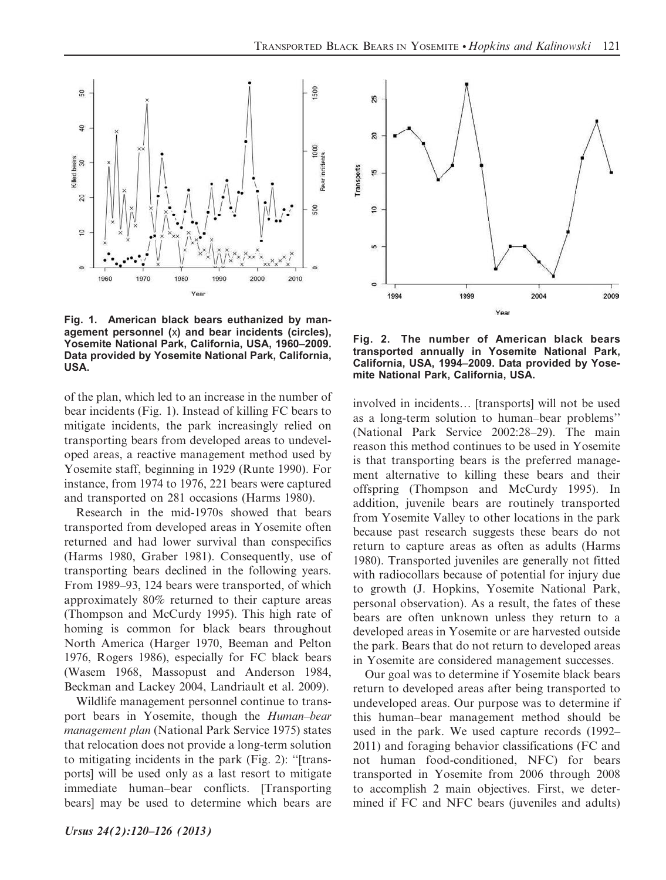

Fig. 1. American black bears euthanized by management personnel (x) and bear incidents (circles), Yosemite National Park, California, USA, 1960–2009. Data provided by Yosemite National Park, California, USA.

of the plan, which led to an increase in the number of bear incidents (Fig. 1). Instead of killing FC bears to mitigate incidents, the park increasingly relied on transporting bears from developed areas to undeveloped areas, a reactive management method used by Yosemite staff, beginning in 1929 (Runte 1990). For instance, from 1974 to 1976, 221 bears were captured and transported on 281 occasions (Harms 1980).

Research in the mid-1970s showed that bears transported from developed areas in Yosemite often returned and had lower survival than conspecifics (Harms 1980, Graber 1981). Consequently, use of transporting bears declined in the following years. From 1989–93, 124 bears were transported, of which approximately 80% returned to their capture areas (Thompson and McCurdy 1995). This high rate of homing is common for black bears throughout North America (Harger 1970, Beeman and Pelton 1976, Rogers 1986), especially for FC black bears (Wasem 1968, Massopust and Anderson 1984, Beckman and Lackey 2004, Landriault et al. 2009).

Wildlife management personnel continue to transport bears in Yosemite, though the Human–bear management plan (National Park Service 1975) states that relocation does not provide a long-term solution to mitigating incidents in the park (Fig. 2): ''[transports] will be used only as a last resort to mitigate immediate human–bear conflicts. [Transporting bears] may be used to determine which bears are



Fig. 2. The number of American black bears transported annually in Yosemite National Park, California, USA, 1994–2009. Data provided by Yosemite National Park, California, USA.

involved in incidents… [transports] will not be used as a long-term solution to human–bear problems'' (National Park Service 2002:28–29). The main reason this method continues to be used in Yosemite is that transporting bears is the preferred management alternative to killing these bears and their offspring (Thompson and McCurdy 1995). In addition, juvenile bears are routinely transported from Yosemite Valley to other locations in the park because past research suggests these bears do not return to capture areas as often as adults (Harms 1980). Transported juveniles are generally not fitted with radiocollars because of potential for injury due to growth (J. Hopkins, Yosemite National Park, personal observation). As a result, the fates of these bears are often unknown unless they return to a developed areas in Yosemite or are harvested outside the park. Bears that do not return to developed areas in Yosemite are considered management successes.

Our goal was to determine if Yosemite black bears return to developed areas after being transported to undeveloped areas. Our purpose was to determine if this human–bear management method should be used in the park. We used capture records (1992– 2011) and foraging behavior classifications (FC and not human food-conditioned, NFC) for bears transported in Yosemite from 2006 through 2008 to accomplish 2 main objectives. First, we determined if FC and NFC bears (juveniles and adults)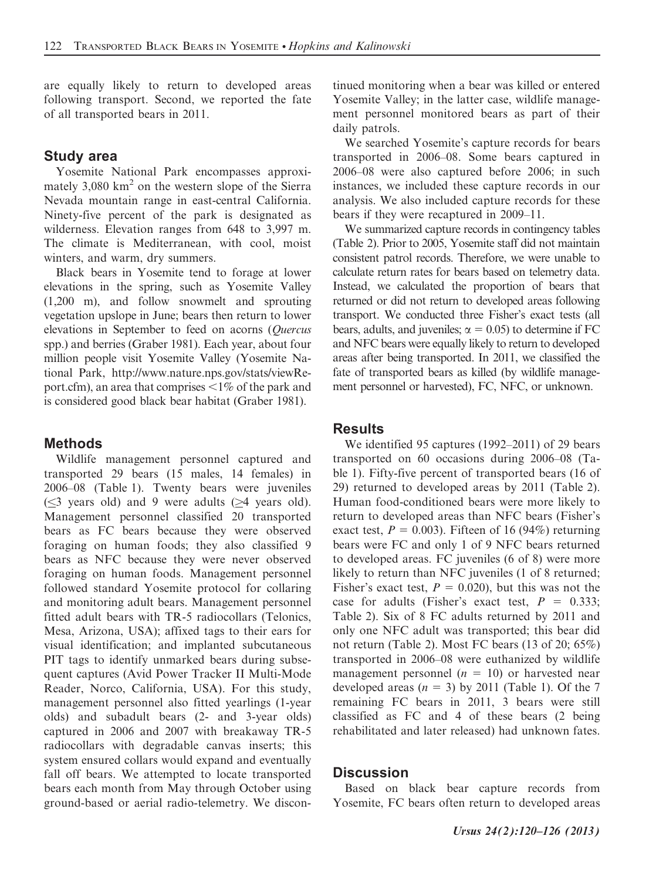are equally likely to return to developed areas following transport. Second, we reported the fate of all transported bears in 2011.

### Study area

Yosemite National Park encompasses approximately  $3,080 \text{ km}^2$  on the western slope of the Sierra Nevada mountain range in east-central California. Ninety-five percent of the park is designated as wilderness. Elevation ranges from 648 to 3,997 m. The climate is Mediterranean, with cool, moist winters, and warm, dry summers.

Black bears in Yosemite tend to forage at lower elevations in the spring, such as Yosemite Valley (1,200 m), and follow snowmelt and sprouting vegetation upslope in June; bears then return to lower elevations in September to feed on acorns (Quercus spp.) and berries (Graber 1981). Each year, about four million people visit Yosemite Valley (Yosemite National Park, http://www.nature.nps.gov/stats/viewReport.cfm), an area that comprises  $\leq 1\%$  of the park and is considered good black bear habitat (Graber 1981).

#### Methods

Wildlife management personnel captured and transported 29 bears (15 males, 14 females) in 2006–08 (Table 1). Twenty bears were juveniles  $(\leq$ 3 years old) and 9 were adults ( $\geq$ 4 years old). Management personnel classified 20 transported bears as FC bears because they were observed foraging on human foods; they also classified 9 bears as NFC because they were never observed foraging on human foods. Management personnel followed standard Yosemite protocol for collaring and monitoring adult bears. Management personnel fitted adult bears with TR-5 radiocollars (Telonics, Mesa, Arizona, USA); affixed tags to their ears for visual identification; and implanted subcutaneous PIT tags to identify unmarked bears during subsequent captures (Avid Power Tracker II Multi-Mode Reader, Norco, California, USA). For this study, management personnel also fitted yearlings (1-year olds) and subadult bears (2- and 3-year olds) captured in 2006 and 2007 with breakaway TR-5 radiocollars with degradable canvas inserts; this system ensured collars would expand and eventually fall off bears. We attempted to locate transported bears each month from May through October using ground-based or aerial radio-telemetry. We discontinued monitoring when a bear was killed or entered Yosemite Valley; in the latter case, wildlife management personnel monitored bears as part of their daily patrols.

We searched Yosemite's capture records for bears transported in 2006–08. Some bears captured in 2006–08 were also captured before 2006; in such instances, we included these capture records in our analysis. We also included capture records for these bears if they were recaptured in 2009–11.

We summarized capture records in contingency tables (Table 2). Prior to 2005, Yosemite staff did not maintain consistent patrol records. Therefore, we were unable to calculate return rates for bears based on telemetry data. Instead, we calculated the proportion of bears that returned or did not return to developed areas following transport. We conducted three Fisher's exact tests (all bears, adults, and juveniles;  $\alpha = 0.05$ ) to determine if FC and NFC bears were equally likely to return to developed areas after being transported. In 2011, we classified the fate of transported bears as killed (by wildlife management personnel or harvested), FC, NFC, or unknown.

### **Results**

We identified 95 captures (1992–2011) of 29 bears transported on 60 occasions during 2006–08 (Table 1). Fifty-five percent of transported bears (16 of 29) returned to developed areas by 2011 (Table 2). Human food-conditioned bears were more likely to return to developed areas than NFC bears (Fisher's exact test,  $P = 0.003$ . Fifteen of 16 (94%) returning bears were FC and only 1 of 9 NFC bears returned to developed areas. FC juveniles (6 of 8) were more likely to return than NFC juveniles (1 of 8 returned; Fisher's exact test,  $P = 0.020$ ), but this was not the case for adults (Fisher's exact test,  $P = 0.333$ ; Table 2). Six of 8 FC adults returned by 2011 and only one NFC adult was transported; this bear did not return (Table 2). Most FC bears (13 of 20; 65%) transported in 2006–08 were euthanized by wildlife management personnel  $(n = 10)$  or harvested near developed areas  $(n = 3)$  by 2011 (Table 1). Of the 7 remaining FC bears in 2011, 3 bears were still classified as FC and 4 of these bears (2 being rehabilitated and later released) had unknown fates.

#### **Discussion**

Based on black bear capture records from Yosemite, FC bears often return to developed areas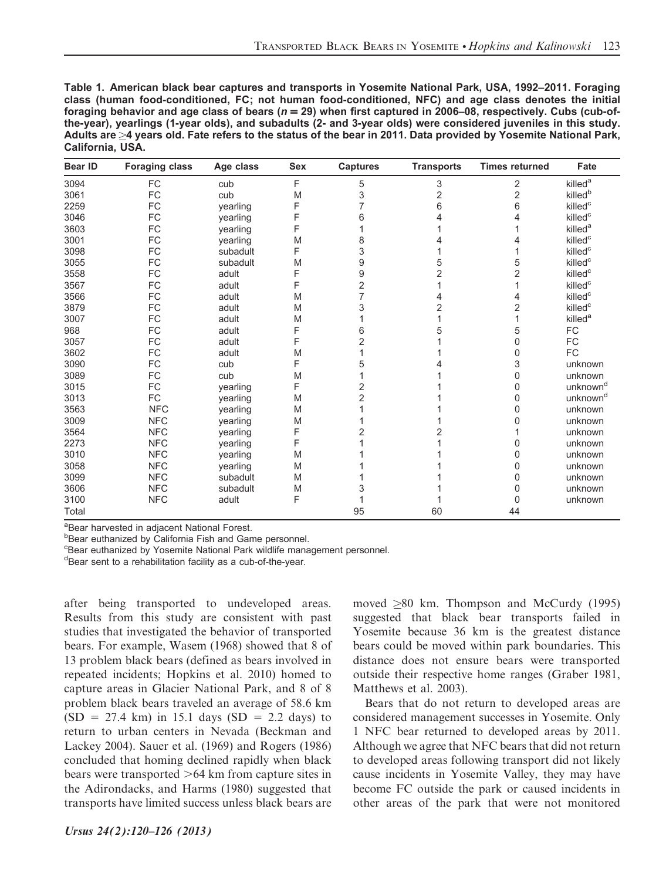| Table 1. American black bear captures and transports in Yosemite National Park, USA, 1992–2011. Foraging          |
|-------------------------------------------------------------------------------------------------------------------|
| class (human food-conditioned, FC; not human food-conditioned, NFC) and age class denotes the initial             |
| foraging behavior and age class of bears ( $n = 29$ ) when first captured in 2006–08, respectively. Cubs (cub-of- |
| the-year), yearlings (1-year olds), and subadults (2- and 3-year olds) were considered juveniles in this study.   |
| Adults are >4 vears old. Fate refers to the status of the bear in 2011. Data provided by Yosemite National Park.  |
| California, USA.                                                                                                  |

| <b>Bear ID</b> | <b>Foraging class</b> | Age class | <b>Sex</b> | <b>Captures</b> | <b>Transports</b> | <b>Times returned</b> | Fate                 |
|----------------|-----------------------|-----------|------------|-----------------|-------------------|-----------------------|----------------------|
| 3094           | FC                    | cub       | F          | 5               | 3                 | 2                     | killed <sup>a</sup>  |
| 3061           | FC                    | cub       | M          | 3               | $\overline{2}$    | $\overline{2}$        | killed <sup>b</sup>  |
| 2259           | FC                    | yearling  | F          |                 | 6                 | 6                     | killed <sup>c</sup>  |
| 3046           | FC                    | vearling  | F          | 6               | 4                 | 4                     | killed <sup>c</sup>  |
| 3603           | FC                    | vearling  | F          |                 |                   |                       | killed <sup>a</sup>  |
| 3001           | FC                    | vearling  | M          | 8               |                   |                       | killed <sup>c</sup>  |
| 3098           | FC                    | subadult  | F          | 3               |                   |                       | killed <sup>c</sup>  |
| 3055           | FC                    | subadult  | M          | 9               | 5                 | 5                     | killed <sup>c</sup>  |
| 3558           | ${\sf FC}$            | adult     | F          | 9               | 2                 | $\overline{2}$        | killed <sup>c</sup>  |
| 3567           | FC                    | adult     | F          | 2               |                   |                       | killed <sup>c</sup>  |
| 3566           | FC                    | adult     | M          | 7               |                   | 4                     | killed <sup>c</sup>  |
| 3879           | FC                    | adult     | M          | 3               | 2                 | 2                     | killed <sup>c</sup>  |
| 3007           | FC                    | adult     | M          |                 |                   |                       | killed <sup>a</sup>  |
| 968            | FC                    | adult     | F          | 6               | 5                 | 5                     | FC                   |
| 3057           | FC                    | adult     | F          | $\overline{2}$  |                   | 0                     | FC                   |
| 3602           | FC                    | adult     | M          |                 |                   | 0                     | <b>FC</b>            |
| 3090           | FC                    | cub       | F          | 5               |                   | 3                     | unknown              |
| 3089           | FC                    | cub       | M          |                 |                   | $\Omega$              | unknown              |
| 3015           | FC                    | yearling  | F          | 2               |                   | 0                     | unknown <sup>d</sup> |
| 3013           | FC                    | vearling  | M          | 2               |                   | 0                     | unknown <sup>d</sup> |
| 3563           | <b>NFC</b>            | vearling  | M          |                 |                   | 0                     | unknown              |
| 3009           | <b>NFC</b>            | yearling  | M          |                 |                   | 0                     | unknown              |
| 3564           | <b>NFC</b>            | vearling  | F          | 2               |                   |                       | unknown              |
| 2273           | <b>NFC</b>            | yearling  | F          |                 |                   | 0                     | unknown              |
| 3010           | <b>NFC</b>            | vearling  | M          |                 |                   | 0                     | unknown              |
| 3058           | <b>NFC</b>            | yearling  | M          |                 |                   | 0                     | unknown              |
| 3099           | <b>NFC</b>            | subadult  | M          |                 |                   | 0                     | unknown              |
| 3606           | <b>NFC</b>            | subadult  | M          | 3               |                   | 0                     | unknown              |
| 3100           | <b>NFC</b>            | adult     | F          |                 |                   | 0                     | unknown              |
| Total          |                       |           |            | 95              | 60                | 44                    |                      |

<sup>a</sup>Bear harvested in adjacent National Forest.

b Bear euthanized by California Fish and Game personnel.

c Bear euthanized by Yosemite National Park wildlife management personnel.

<sup>d</sup>Bear sent to a rehabilitation facility as a cub-of-the-year.

after being transported to undeveloped areas. Results from this study are consistent with past studies that investigated the behavior of transported bears. For example, Wasem (1968) showed that 8 of 13 problem black bears (defined as bears involved in repeated incidents; Hopkins et al. 2010) homed to capture areas in Glacier National Park, and 8 of 8 problem black bears traveled an average of 58.6 km  $(SD = 27.4 \text{ km})$  in 15.1 days  $(SD = 2.2 \text{ days})$  to return to urban centers in Nevada (Beckman and Lackey 2004). Sauer et al. (1969) and Rogers (1986) concluded that homing declined rapidly when black bears were transported  $>64$  km from capture sites in the Adirondacks, and Harms (1980) suggested that transports have limited success unless black bears are moved  $\geq 80$  km. Thompson and McCurdy (1995) suggested that black bear transports failed in Yosemite because 36 km is the greatest distance bears could be moved within park boundaries. This distance does not ensure bears were transported outside their respective home ranges (Graber 1981, Matthews et al. 2003).

Bears that do not return to developed areas are considered management successes in Yosemite. Only 1 NFC bear returned to developed areas by 2011. Although we agree that NFC bears that did not return to developed areas following transport did not likely cause incidents in Yosemite Valley, they may have become FC outside the park or caused incidents in other areas of the park that were not monitored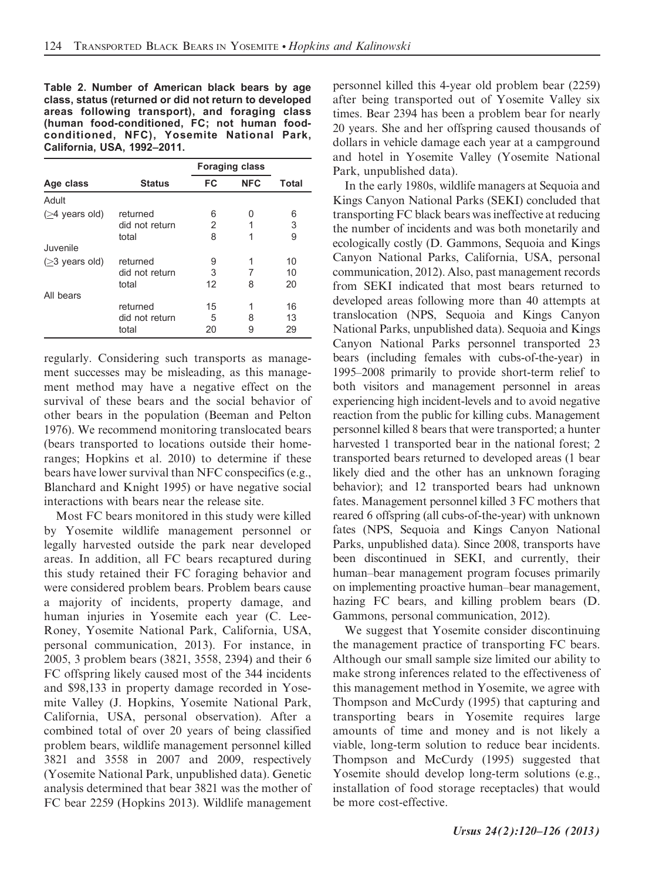Table 2. Number of American black bears by age class, status (returned or did not return to developed areas following transport), and foraging class (human food-conditioned, FC; not human foodconditioned, NFC), Yosemite National Park, California, USA, 1992–2011.

|                          |                                     |               | <b>Foraging class</b> |                |  |
|--------------------------|-------------------------------------|---------------|-----------------------|----------------|--|
| Age class                | <b>Status</b>                       | FC            | <b>NFC</b>            | Total          |  |
| Adult                    |                                     |               |                       |                |  |
| $($ 24 years old)        | returned<br>did not return<br>total | 6<br>2<br>8   | O<br>1                | 6<br>3<br>9    |  |
| Juvenile                 |                                     |               |                       |                |  |
| $(23 \text{ years old})$ | returned<br>did not return<br>total |               | 8                     | 10<br>10<br>20 |  |
| All bears                | returned<br>did not return<br>total | 15<br>5<br>20 | 8<br>9                | 16<br>13<br>29 |  |

regularly. Considering such transports as management successes may be misleading, as this management method may have a negative effect on the survival of these bears and the social behavior of other bears in the population (Beeman and Pelton 1976). We recommend monitoring translocated bears (bears transported to locations outside their homeranges; Hopkins et al. 2010) to determine if these bears have lower survival than NFC conspecifics (e.g., Blanchard and Knight 1995) or have negative social interactions with bears near the release site.

Most FC bears monitored in this study were killed by Yosemite wildlife management personnel or legally harvested outside the park near developed areas. In addition, all FC bears recaptured during this study retained their FC foraging behavior and were considered problem bears. Problem bears cause a majority of incidents, property damage, and human injuries in Yosemite each year (C. Lee-Roney, Yosemite National Park, California, USA, personal communication, 2013). For instance, in 2005, 3 problem bears (3821, 3558, 2394) and their 6 FC offspring likely caused most of the 344 incidents and \$98,133 in property damage recorded in Yosemite Valley (J. Hopkins, Yosemite National Park, California, USA, personal observation). After a combined total of over 20 years of being classified problem bears, wildlife management personnel killed 3821 and 3558 in 2007 and 2009, respectively (Yosemite National Park, unpublished data). Genetic analysis determined that bear 3821 was the mother of FC bear 2259 (Hopkins 2013). Wildlife management

personnel killed this 4-year old problem bear (2259) after being transported out of Yosemite Valley six times. Bear 2394 has been a problem bear for nearly 20 years. She and her offspring caused thousands of dollars in vehicle damage each year at a campground and hotel in Yosemite Valley (Yosemite National Park, unpublished data).

In the early 1980s, wildlife managers at Sequoia and Kings Canyon National Parks (SEKI) concluded that transporting FC black bears was ineffective at reducing the number of incidents and was both monetarily and ecologically costly (D. Gammons, Sequoia and Kings Canyon National Parks, California, USA, personal communication, 2012). Also, past management records from SEKI indicated that most bears returned to developed areas following more than 40 attempts at translocation (NPS, Sequoia and Kings Canyon National Parks, unpublished data). Sequoia and Kings Canyon National Parks personnel transported 23 bears (including females with cubs-of-the-year) in 1995–2008 primarily to provide short-term relief to both visitors and management personnel in areas experiencing high incident-levels and to avoid negative reaction from the public for killing cubs. Management personnel killed 8 bears that were transported; a hunter harvested 1 transported bear in the national forest; 2 transported bears returned to developed areas (1 bear likely died and the other has an unknown foraging behavior); and 12 transported bears had unknown fates. Management personnel killed 3 FC mothers that reared 6 offspring (all cubs-of-the-year) with unknown fates (NPS, Sequoia and Kings Canyon National Parks, unpublished data). Since 2008, transports have been discontinued in SEKI, and currently, their human–bear management program focuses primarily on implementing proactive human–bear management, hazing FC bears, and killing problem bears (D. Gammons, personal communication, 2012).

We suggest that Yosemite consider discontinuing the management practice of transporting FC bears. Although our small sample size limited our ability to make strong inferences related to the effectiveness of this management method in Yosemite, we agree with Thompson and McCurdy (1995) that capturing and transporting bears in Yosemite requires large amounts of time and money and is not likely a viable, long-term solution to reduce bear incidents. Thompson and McCurdy (1995) suggested that Yosemite should develop long-term solutions (e.g., installation of food storage receptacles) that would be more cost-effective.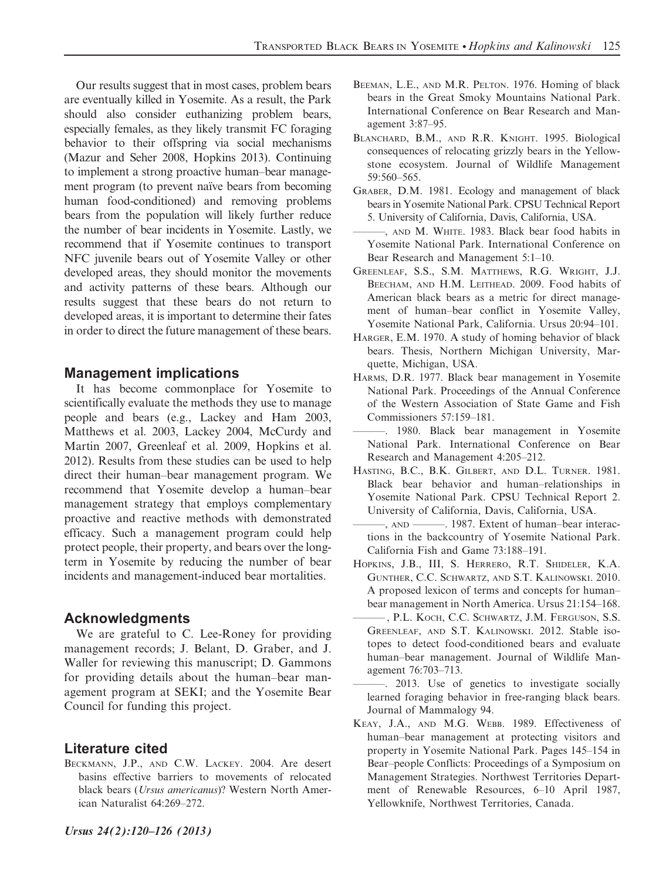Our results suggest that in most cases, problem bears are eventually killed in Yosemite. As a result, the Park should also consider euthanizing problem bears, especially females, as they likely transmit FC foraging behavior to their offspring via social mechanisms (Mazur and Seher 2008, Hopkins 2013). Continuing to implement a strong proactive human–bear management program (to prevent naïve bears from becoming human food-conditioned) and removing problems bears from the population will likely further reduce the number of bear incidents in Yosemite. Lastly, we recommend that if Yosemite continues to transport NFC juvenile bears out of Yosemite Valley or other developed areas, they should monitor the movements and activity patterns of these bears. Although our results suggest that these bears do not return to developed areas, it is important to determine their fates in order to direct the future management of these bears.

### Management implications

It has become commonplace for Yosemite to scientifically evaluate the methods they use to manage people and bears (e.g., Lackey and Ham 2003, Matthews et al. 2003, Lackey 2004, McCurdy and Martin 2007, Greenleaf et al. 2009, Hopkins et al. 2012). Results from these studies can be used to help direct their human–bear management program. We recommend that Yosemite develop a human–bear management strategy that employs complementary proactive and reactive methods with demonstrated efficacy. Such a management program could help protect people, their property, and bears over the longterm in Yosemite by reducing the number of bear incidents and management-induced bear mortalities.

## Acknowledgments

We are grateful to C. Lee-Roney for providing management records; J. Belant, D. Graber, and J. Waller for reviewing this manuscript; D. Gammons for providing details about the human–bear management program at SEKI; and the Yosemite Bear Council for funding this project.

### Literature cited

BECKMANN, J.P., AND C.W. LACKEY. 2004. Are desert basins effective barriers to movements of relocated black bears (Ursus americanus)? Western North American Naturalist 64:269–272.

- BEEMAN, L.E., AND M.R. PELTON. 1976. Homing of black bears in the Great Smoky Mountains National Park. International Conference on Bear Research and Management 3:87–95.
- BLANCHARD, B.M., AND R.R. KNIGHT. 1995. Biological consequences of relocating grizzly bears in the Yellowstone ecosystem. Journal of Wildlife Management 59:560–565.
- GRABER, D.M. 1981. Ecology and management of black bears in Yosemite National Park. CPSU Technical Report 5. University of California, Davis, California, USA.
- -, AND M. WHITE. 1983. Black bear food habits in Yosemite National Park. International Conference on Bear Research and Management 5:1–10.
- GREENLEAF, S.S., S.M. MATTHEWS, R.G. WRIGHT, J.J. BEECHAM, AND H.M. LEITHEAD. 2009. Food habits of American black bears as a metric for direct management of human–bear conflict in Yosemite Valley, Yosemite National Park, California. Ursus 20:94–101.
- HARGER, E.M. 1970. A study of homing behavior of black bears. Thesis, Northern Michigan University, Marquette, Michigan, USA.
- HARMS, D.R. 1977. Black bear management in Yosemite National Park. Proceedings of the Annual Conference of the Western Association of State Game and Fish Commissioners 57:159–181.
- ———. 1980. Black bear management in Yosemite National Park. International Conference on Bear Research and Management 4:205–212.
- HASTING, B.C., B.K. GILBERT, AND D.L. TURNER. 1981. Black bear behavior and human–relationships in Yosemite National Park. CPSU Technical Report 2. University of California, Davis, California, USA.
- ———, AND ———. 1987. Extent of human–bear interactions in the backcountry of Yosemite National Park. California Fish and Game 73:188–191.
- HOPKINS, J.B., III, S. HERRERO, R.T. SHIDELER, K.A. GUNTHER, C.C. SCHWARTZ, AND S.T. KALINOWSKI. 2010. A proposed lexicon of terms and concepts for human– bear management in North America. Ursus 21:154–168.
- , P.L. KOCH, C.C. SCHWARTZ, J.M. FERGUSON, S.S. GREENLEAF, AND S.T. KALINOWSKI. 2012. Stable isotopes to detect food-conditioned bears and evaluate human–bear management. Journal of Wildlife Management 76:703–713.

. 2013. Use of genetics to investigate socially learned foraging behavior in free-ranging black bears. Journal of Mammalogy 94.

KEAY, J.A., AND M.G. WEBB. 1989. Effectiveness of human–bear management at protecting visitors and property in Yosemite National Park. Pages 145–154 in Bear–people Conflicts: Proceedings of a Symposium on Management Strategies. Northwest Territories Department of Renewable Resources, 6–10 April 1987, Yellowknife, Northwest Territories, Canada.